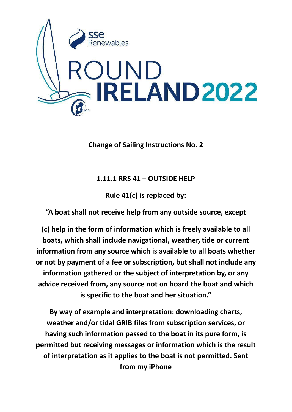

**Change of Sailing Instructions No. 2**

**1.11.1 RRS 41 – OUTSIDE HELP**

**Rule 41(c) is replaced by:**

**"A boat shall not receive help from any outside source, except**

**(c) help in the form of information which is freely available to all boats, which shall include navigational, weather, tide or current information from any source which is available to all boats whether or not by payment of a fee or subscription, but shall not include any information gathered or the subject of interpretation by, or any advice received from, any source not on board the boat and which is specific to the boat and her situation."**

**By way of example and interpretation: downloading charts, weather and/or tidal GRIB files from subscription services, or having such information passed to the boat in its pure form, is permitted but receiving messages or information which is the result of interpretation as it applies to the boat is not permitted. Sent from my iPhone**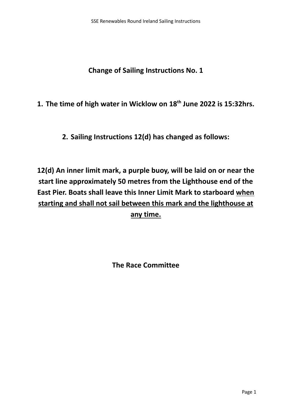**Change of Sailing Instructions No. 1**

**1. The time of high water in Wicklow on 18 th June 2022 is 15:32hrs.**

**2. Sailing Instructions 12(d) has changed as follows:**

**12(d) An inner limit mark, a purple buoy, will be laid on or near the start line approximately 50 metres from the Lighthouse end of the East Pier. Boats shall leave this Inner Limit Mark to starboard when starting and shall not sail between this mark and the lighthouse at any time.**

**The Race Committee**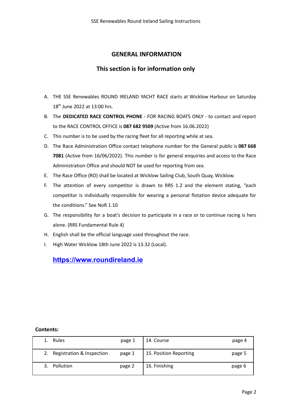# **GENERAL INFORMATION**

# **This section is for information only**

- A. THE SSE Renewables ROUND IRELAND YACHT RACE starts at Wicklow Harbour on Saturday 18<sup>th</sup> June 2022 at 13:00 hrs.
- B. The **DEDICATED RACE CONTROL PHONE** FOR RACING BOATS ONLY to contact and report to the RACE CONTROL OFFICE is **087 682 9509** (Active from 16.06.2022)
- C. This number is to be used by the racing fleet for all reporting while at sea.
- D. The Race Administration Office contact telephone number for the General public is **087 668 7081** (Active from 16/06/2022). This number is for general enquiries and access to the Race Administration Office and should NOT be used for reporting from sea.
- E. The Race Office (RO) shall be located at Wicklow Sailing Club, South Quay, Wicklow.
- F. The attention of every competitor is drawn to RRS 1.2 and the element stating, "each competitor is individually responsible for wearing a personal flotation device adequate for the conditions." See NoR 1.10
- G. The responsibility for a boat's decision to participate in a race or to continue racing is hers alone. (RRS Fundamental Rule 4)
- H. English shall be the official language used throughout the race.
- I. High Water Wicklow 18th June 2022 is 13.32 (Local).

# **<https://www.roundireland.ie>**

#### **Contents:**

|    | Rules                     | page 1 | 14. Course             | page 4 |
|----|---------------------------|--------|------------------------|--------|
| 2. | Registration & Inspection | page 1 | 15. Position Reporting | page 5 |
|    | <b>Pollution</b>          | page 2 | 16. Finishing          | page 6 |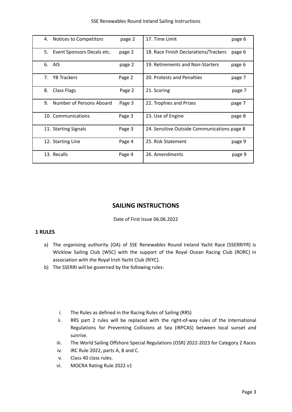| 4. | Notices to Competitors     | page 2 | 17. Time Limit                              | page 6 |
|----|----------------------------|--------|---------------------------------------------|--------|
| 5. | Event Sponsors Decals etc. | page 2 | 18. Race Finish Declarations/Trackers       | page 6 |
| 6. | AIS                        | page 2 | 19. Retirements and Non-Starters            | page 6 |
| 7. | <b>YB Trackers</b>         | Page 2 | 20. Protests and Penalties                  | page 7 |
| 8. | <b>Class Flags</b>         | Page 2 | 21. Scoring                                 | page 7 |
| 9. | Number of Persons Aboard   | Page 3 | 22. Trophies and Prizes                     | page 7 |
|    | 10. Communications         | Page 3 | 23. Use of Engine                           | page 8 |
|    | 11. Starting Signals       | Page 3 | 24. Sensitive Outside Communications page 8 |        |
|    | 12. Starting Line          | Page 4 | 25. Risk Statement                          | page 9 |
|    | 13. Recalls                | Page 4 | 26. Amendments                              | page 9 |

# **SAILING INSTRUCTIONS**

#### Date of First Issue 06.06.2022

# **1 RULES**

- a) The organising authority (OA) of SSE Renewables Round Ireland Yacht Race (SSERRIYR) is Wicklow Sailing Club (WSC) with the support of the Royal Ocean Racing Club (RORC) in association with the Royal Irish Yacht Club (RIYC).
- b) The SSERRI will be governed by the following rules:
	- i. The Rules as defined in the Racing Rules of Sailing (RRS)
	- ii. RRS part 2 rules will be replaced with the right-of-way rules of the International Regulations for Preventing Collisions at Sea (IRPCAS) between local sunset and sunrise.
	- iii. The World Sailing Offshore Special Regulations (OSR) 2022-2023 for Category 2 Races
	- iv. IRC Rule 2022, parts A, B and C.
	- v. Class 40 class rules.
	- vi. MOCRA Rating Rule 2022 v1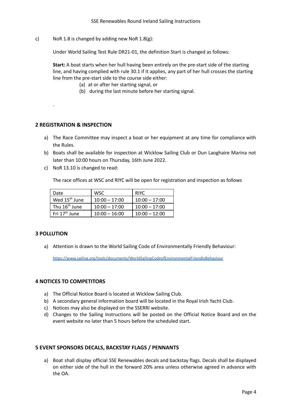c) NoR 1.8 is changed by adding new NoR 1.8(g):

Under World Sailing Test Rule DR21-01, the definition Start is changed as follows:

**Start:** A boat starts when her hull having been entirely on the pre-start side of the starting line, and having complied with rule 30.1 if it applies, any part of her hull crosses the starting line from the pre-start side to the course side either:

- (a) at or after her starting signal, or
- (b) during the last minute before her starting signal.

# **2 REGISTRATION & INSPECTION**

.

- a) The Race Committee may inspect a boat or her equipment at any time for compliance with the Rules.
- b) Boats shall be available for inspection at Wicklow Sailing Club or Dun Laoghaire Marina not later than 10:00 hours on Thursday, 16th June 2022.
- c) NoR 13.10 is changed to read:

The race offices at WSC and RIYC will be open for registration and inspection as follows

| Date                      | WSC             | <b>RIYC</b>     |
|---------------------------|-----------------|-----------------|
| Wed 15 <sup>th</sup> June | $10:00 - 17:00$ | $10:00 - 17:00$ |
| Thu 16 <sup>th</sup> June | $10:00 - 17:00$ | $10:00 - 17:00$ |
| Fri $17th$ June           | $10:00 - 16:00$ | $10:00 - 12:00$ |

# **3 POLLUTION**

a) Attention is drawn to the World Sailing Code of Environmentally Friendly Behaviour:

<https://www.sailing.org/tools/documents/WorldSailingCodeofEnvironmentalFriendlyBehaviour>

#### **4 NOTICES TO COMPETITORS**

- a) The Official Notice Board is located at Wicklow Sailing Club.
- b) A secondary general information board will be located in the Royal Irish Yacht Club.
- c) Notices may also be displayed on the SSERRI website.
- d) Changes to the Sailing Instructions will be posted on the Official Notice Board and on the event website no later than 5 hours before the scheduled start.

#### **5 EVENT SPONSORS DECALS, BACKSTAY FLAGS / PENNANTS**

a) Boat shall display official SSE Renewables decals and backstay flags. Decals shall be displayed on either side of the hull in the forward 20% area unless otherwise agreed in advance with the OA.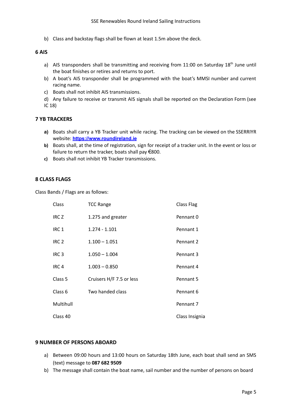b) Class and backstay flags shall be flown at least 1.5m above the deck.

# **6 AIS**

- a) AIS transponders shall be transmitting and receiving from 11:00 on Saturday 18<sup>th</sup> June until the boat finishes or retires and returns to port.
- b) A boat's AIS transponder shall be programmed with the boat's MMSI number and current racing name.
- c) Boats shall not inhibit AIS transmissions.
- d) Any failure to receive or transmit AIS signals shall be reported on the Declaration Form (see IC 18)

#### **7 YB TRACKERS**

- **a)** Boats shall carry a YB Tracker unit while racing. The tracking can be viewed on the SSERRIYR website: **<https://www.roundireland.ie>**
- **b)** Boats shall, at the time of registration, sign for receipt of a tracker unit. In the event or loss or failure to return the tracker, boats shall pay  $€800$ .
- **c)** Boats shall not inhibit YB Tracker transmissions.

#### **8 CLASS FLAGS**

Class Bands / Flags are as follows:

| Class              | <b>TCC Range</b>         | <b>Class Flag</b> |
|--------------------|--------------------------|-------------------|
| IRC <sub>Z</sub>   | 1.275 and greater        | Pennant 0         |
| IRC <sub>1</sub>   | $1.274 - 1.101$          | Pennant 1         |
| IRC <sub>2</sub>   | $1.100 - 1.051$          | Pennant 2         |
| IRC <sub>3</sub>   | $1.050 - 1.004$          | Pennant 3         |
| IRC <sub>4</sub>   | $1.003 - 0.850$          | Pennant 4         |
| Class 5            | Cruisers H/F 7.5 or less | Pennant 5         |
| Class <sub>6</sub> | Two handed class         | Pennant 6         |
| Multihull          |                          | Pennant 7         |
| Class 40           |                          | Class Insignia    |

#### **9 NUMBER OF PERSONS ABOARD**

- a) Between 09:00 hours and 13:00 hours on Saturday 18th June, each boat shall send an SMS (text) message to **087 682 9509**
- b) The message shall contain the boat name, sail number and the number of persons on board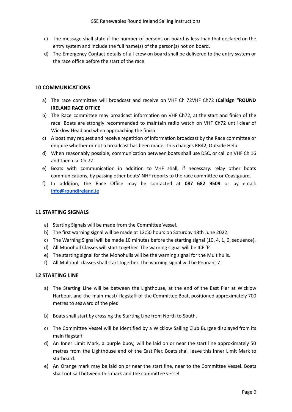- c) The message shall state if the number of persons on board is less than that declared on the entry system and include the full name(s) of the person(s) not on board.
- d) The Emergency Contact details of all crew on board shall be delivered to the entry system or the race office before the start of the race.

# **10 COMMUNICATIONS**

- a) The race committee will broadcast and receive on VHF Ch 72VHF Ch72 (**Callsign "ROUND IRELAND RACE OFFICE**
- b) The Race committee may broadcast information on VHF Ch72, at the start and finish of the race. Boats are strongly recommended to maintain radio watch on VHF Ch72 until clear of Wicklow Head and when approaching the finish.
- c) A boat may request and receive repetition of information broadcast by the Race committee or enquire whether or not a broadcast has been made. This changes RR42, Outside Help.
- d) When reasonably possible, communication between boats shall use DSC, or call on VHF Ch 16 and then use Ch 72.
- e) Boats with communication in addition to VHF shall, if necessary, relay other boats communications, by passing other boats' NHF reports to the race committee or Coastguard.
- f) In addition, the Race Office may be contacted at **087 682 9509** or by email: **[info@roundireland.ie](mailto:info@roundireland.ie)**

# **11 STARTING SIGNALS**

- a) Starting Signals will be made from the Committee Vessel.
- b) The first warning signal will be made at 12:50 hours on Saturday 18th June 2022.
- c) The Warning Signal will be made 10 minutes before the starting signal (10, 4, 1, 0, sequence).
- d) All Monohull Classes will start together. The warning signal will be ICF 'E'
- e) The starting signal for the Monohulls will be the warning signal for the Multihulls.
- f) All Multihull classes shall start together. The warning signal will be Pennant 7.

# **12 STARTING LINE**

- a) The Starting Line will be between the Lighthouse, at the end of the East Pier at Wicklow Harbour, and the main mast/ flagstaff of the Committee Boat, positioned approximately 700 metres to seaward of the pier.
- b) Boats shall start by crossing the Starting Line from North to South.
- c) The Committee Vessel will be identified by a Wicklow Sailing Club Burgee displayed from its main flagstaff
- d) An Inner Limit Mark, a purple buoy, will be laid on or near the start line approximately 50 metres from the Lighthouse end of the East Pier. Boats shall leave this Inner Limit Mark to starboard.
- e) An Orange mark may be laid on or near the start line, near to the Committee Vessel. Boats shall not sail between this mark and the committee vessel.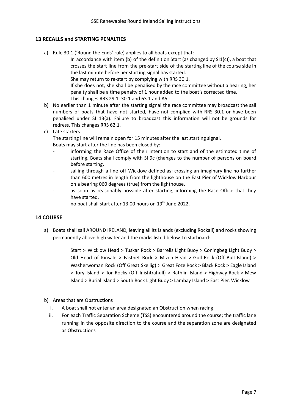# **13 RECALLS and STARTING PENALTIES**

a) Rule 30.1 ('Round the Ends' rule) applies to all boats except that:

In accordance with item (b) of the definition Start (as changed by SI1(c)), a boat that crosses the start line from the pre-start side of the starting line of the course side in the last minute before her starting signal has started.

She may return to re-start by complying with RRS 30.1.

If she does not, she shall be penalised by the race committee without a hearing, her penalty shall be a time penalty of 1 hour added to the boat's corrected time. This changes RRS 29.1, 30.1 and 63.1 and A5.

- b) No earlier than 1 minute after the starting signal the race committee may broadcast the sail numbers of boats that have not started, have not complied with RRS 30.1 or have been penalised under SI 13(a). Failure to broadcast this information will not be grounds for redress. This changes RRS 62.1.
- c) Late starters

The starting line will remain open for 15 minutes after the last starting signal. Boats may start after the line has been closed by:

- informing the Race Office of their intention to start and of the estimated time of starting. Boats shall comply with SI 9c (changes to the number of persons on board before starting.
- sailing through a line off Wicklow defined as: crossing an imaginary line no further than 600 metres in length from the lighthouse on the East Pier of Wicklow Harbour on a bearing 060 degrees (true) from the lighthouse.
- as soon as reasonably possible after starting, informing the Race Office that they have started.
- no boat shall start after 13:00 hours on 19<sup>th</sup> June 2022.

# **14 COURSE**

a) Boats shall sail AROUND IRELAND, leaving all its islands (excluding Rockall) and rocks showing permanently above high water and the marks listed below, to starboard:

> Start > Wicklow Head > Tuskar Rock > Barrells Light Buoy > Coningbeg Light Buoy > Old Head of Kinsale > Fastnet Rock > Mizen Head > Gull Rock (Off Bull Island) > Washerwoman Rock (Off Great Skellig) > Great Foze Rock > Black Rock > Eagle Island > Tory Island > Tor Rocks (Off Inishtrahull) > Rathlin Island > Highway Rock > Mew Island > Burial Island > South Rock Light Buoy > Lambay Island > East Pier, Wicklow

- b) Areas that are Obstructions
	- i. A boat shall not enter an area designated an Obstruction when racing
	- ii. For each Traffic Separation Scheme (TSS) encountered around the course; the traffic lane running in the opposite direction to the course and the separation zone are designated as Obstructions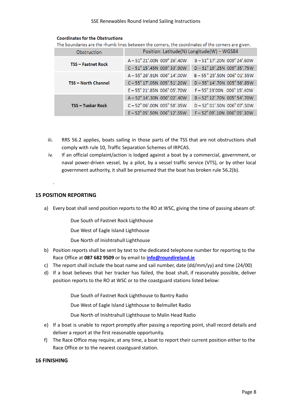| <b>Coordinates for the Obstructions</b> |  |
|-----------------------------------------|--|
|-----------------------------------------|--|

The boundaries are the rhumb lines between the corners, the coordinates of the corners are given.

| Obstruction                | Position: Latitude(N) Longitude(W) - WGS84         |                                                 |
|----------------------------|----------------------------------------------------|-------------------------------------------------|
| <b>TSS - Fastnet Rock</b>  | $A - 51^{\circ}$ 21',00N 009 $^{\circ}$ 26',40W    | B-51° 17'.20N 009° 24'.60W                      |
|                            | $C - 51^{\circ}$ 15'.45N 009 $^{\circ}$ 33'.90W    | D-51°19'.25N 009°35'.75W                        |
|                            | $A - 55^{\circ} 26'$ , 91N 006 $^{\circ}$ 14', 00W | $B - 55^{\circ}$ 25'.50N 006 $^{\circ}$ 01'.55W |
| <b>TSS - North Channel</b> | $C - 55^{\circ}$ 17'.05N 005 $^{\circ}$ 51'.20W    | D - 55° 14'.70N 005° 56'.85W                    |
|                            | $E - 55^{\circ} 21'$ .85N 006 $^{\circ}$ 05'.70W   | $F - 55^{\circ}$ 23'00N 006 $^{\circ}$ 15'.40W  |
|                            | $A - 52^{\circ}$ 14'.30N 006 $^{\circ}$ 02'.40W    | $B - 52^{\circ}$ 12',70N 005 $^{\circ}$ 54',70W |
| <b>TSS - Tuskar Rock</b>   | $C - 52^{\circ}$ 06'.00N 005 $^{\circ}$ 58'.35W    | $D - 52^{\circ}$ 01'.50N 006 $^{\circ}$ 07'.50W |
|                            | $E - 52^{\circ}$ 05'.50N 006 $^{\circ}$ 12'.55W    | $F - 52^{\circ}$ 09'.10N 006 $^{\circ}$ 05'.30W |

- iii. RRS 56.2 applies, boats sailing in those parts of the TSS that are not obstructions shall comply with rule 10, Traffic Separation Schemes of IRPCAS.
- iv. If an official complaint/action is lodged against a boat by a commercial, government, or naval power-driven vessel, by a pilot, by a vessel traffic service (VTS), or by other local government authority, it shall be presumed that the boat has broken rule 56.2(b).

# **15 POSITION REPORTING**

.

a) Every boat shall send position reports to the RO at WSC, giving the time of passing abeam of:

Due South of Fastnet Rock Lighthouse

Due West of Eagle Island Lighthouse

Due North of Inishtrahull Lighthouse

- b) Position reports shall be sent by text to the dedicated telephone number for reporting to the Race Office at **087 682 9509** or by email to **[info@roundireland.ie](mailto:info@roundireland.ie)**
- c) The report shall include the boat name and sail number, date (dd/mm/yy) and time (24/00)
- d) If a boat believes that her tracker has failed, the boat shall, if reasonably possible, deliver position reports to the RO at WSC or to the coastguard stations listed below:

Due South of Fastnet Rock Lighthouse to Bantry Radio

Due West of Eagle Island Lighthouse to Belmullet Radio

Due North of Inishtrahull Lighthouse to Malin Head Radio

- e) If a boat is unable to report promptly after passing a reporting point, shall record details and deliver a report at the first reasonable opportunity.
- f) The Race Office may require, at any time, a boat to report their current position either to the Race Office or to the nearest coastguard station.

# **16 FINISHING**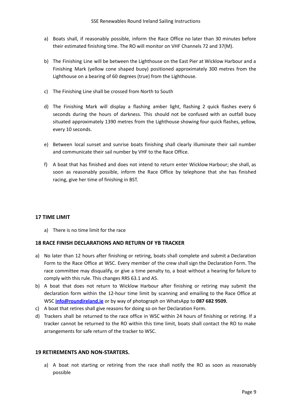- a) Boats shall, if reasonably possible, inform the Race Office no later than 30 minutes before their estimated finishing time. The RO will monitor on VHF Channels 72 and 37(M).
- b) The Finishing Line will be between the Lighthouse on the East Pier at Wicklow Harbour and a Finishing Mark (yellow cone shaped buoy) positioned approximately 300 metres from the Lighthouse on a bearing of 60 degrees (true) from the Lighthouse.
- c) The Finishing Line shall be crossed from North to South
- d) The Finishing Mark will display a flashing amber light, flashing 2 quick flashes every 6 seconds during the hours of darkness. This should not be confused with an outfall buoy situated approximately 1390 metres from the Lighthouse showing four quick flashes, yellow, every 10 seconds.
- e) Between local sunset and sunrise boats finishing shall clearly illuminate their sail number and communicate their sail number by VHF to the Race Office.
- f) A boat that has finished and does not intend to return enter Wicklow Harbour; she shall, as soon as reasonably possible, inform the Race Office by telephone that she has finished racing, give her time of finishing in BST.

# **17 TIME LIMIT**

a) There is no time limit for the race

#### **18 RACE FINISH DECLARATIONS AND RETURN OF YB TRACKER**

- a) No later than 12 hours after finishing or retiring, boats shall complete and submit a Declaration Form to the Race Office at WSC. Every member of the crew shall sign the Declaration Form. The race committee may disqualify, or give a time penalty to, a boat without a hearing for failure to comply with this rule. This changes RRS 63.1 and A5.
- b) A boat that does not return to Wicklow Harbour after finishing or retiring may submit the declaration form within the 12-hour time limit by scanning and emailing to the Race Office at WSC **[info@roundireland.ie](mailto:info@roundireland.ie)** or by way of photograph on WhatsApp to **087 682 9509.**
- c) A boat that retires shall give reasons for doing so on her Declaration Form.
- d) Trackers shall be returned to the race office in WSC within 24 hours of finishing or retiring. If a tracker cannot be returned to the RO within this time limit, boats shall contact the RO to make arrangements for safe return of the tracker to WSC.

#### **19 RETIREMENTS AND NON-STARTERS.**

a) A boat not starting or retiring from the race shall notify the RO as soon as reasonably possible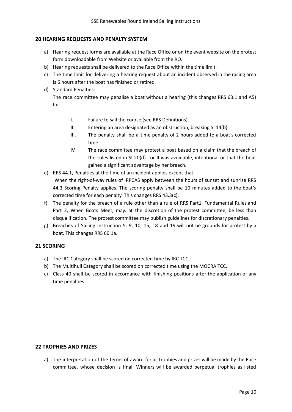# **20 HEARING REQUESTS AND PENALTY SYSTEM**

- a) Hearing request forms are available at the Race Office or on the event website on the protest form downloadable from Website or available from the RO.
- b) Hearing requests shall be delivered to the Race Office within the time limit.
- c) The time limit for delivering a hearing request about an incident observed in the racing area is 6 hours after the boat has finished or retired.
- d) Standard Penalties:

The race committee may penalise a boat without a hearing (this changes RRS 63.1 and A5) for:

- I. Failure to sail the course (see RRS Definitions).
- II. Entering an area designated as an obstruction, breaking SI 14(b)
- III. The penalty shall be a time penalty of 2 hours added to a boat's corrected time.
- IV. The race committee may protest a boat based on a claim that the breach of the rules listed in SI 20(d) I or II was avoidable, intentional or that the boat gained a significant advantage by her breach.
- e) RRS 44.1, Penalties at the time of an incident applies except that: When the right-of-way rules of IRPCAS apply between the hours of sunset and sunrise RRS 44.3 Scoring Penalty applies. The scoring penalty shall be 10 minutes added to the boat's corrected time for each penalty. This changes RRS 43.3(c).
- f) The penalty for the breach of a rule other than a rule of RRS Part1, Fundamental Rules and Part 2, When Boats Meet, may, at the discretion of the protest committee, be less than disqualification. The protest committee may publish guidelines for discretionary penalties.
- g) Breaches of Sailing Instruction 5, 9, 10, 15, 18 and 19 will not be grounds for protest by a boat. This changes RRS 60.1a.

# **21 SCORING**

- a) The IRC Category shall be scored on corrected time by IRC TCC.
- b) The Multihull Category shall be scored on corrected time using the MOCRA TCC.
- c) Class 40 shall be scored in accordance with finishing positions after the application of any time penalties.

#### **22 TROPHIES AND PRIZES**

a) The interpretation of the terms of award for all trophies and prizes will be made by the Race committee, whose decision is final. Winners will be awarded perpetual trophies as listed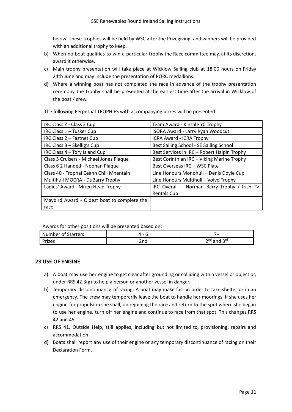below. These trophies will be held by WSC after the Prizegiving, and winners will be provided with an additional trophy to keep.

- b) When no boat qualifies to win a particular trophy the Race committee may, at its discretion, award it otherwise.
- c) Main trophy presentation will take place at Wicklow Sailing club at 18:00 hours on Friday 24th June and may include the presentation of RORC medallions.
- d) Where a winning boat has not completed the race in advance of the trophy presentation ceremony the trophy shall be presented at the earliest time after the arrival in Wicklow of the boat / crew.

The following Perpetual TROPHIES with accompanying prizes will be presented:

| IRC Class Z - Class Z Cup                   | Team Award - Kinsale YC Trophy               |
|---------------------------------------------|----------------------------------------------|
| IRC Class 1 - Tusker Cup                    | ISORA Award - Larry Ryan Woodcut             |
| IRC Class 2 - Fastnet Cup                   | ICRA Award - ICRA Trophy                     |
| IRC Class 3 - Skellig's Cup                 | Best Sailing School - SE Sailing School      |
| IRC Class 4 - Tory Island Cup               | Best Services in IRC - Robert Halpin Trophy  |
| Class 5 Cruisers - Michael Jones Plaque     | Best Corinthian IRC - Viking Marine Trophy   |
| Class 6 2 Handed - Noonan Plaque            | Best Overseas IRC - WSC Plate                |
| Class 40 - Trophaí Ceann Chill Mhantáin     | Line Honours Monohull - Denis Doyle Cup      |
| Multihull MOCRA - DuBarry Trophy            | Line Honours Multihull - Volvo Trophy        |
| Ladies' Award - Mizen Head Trophy           | IRC Overall - Norman Barry Trophy / Irish TV |
|                                             | <b>Rentals Cup</b>                           |
| Maybird Award - Oldest boat to complete the |                                              |
| race                                        |                                              |

Awards for other positions will be presented based on:

| <b>Number of Starters</b> | $\overline{\phantom{0}}$ |                            |
|---------------------------|--------------------------|----------------------------|
| <sup>o</sup> rizes        | 2nd                      | ∽rd<br>$2^{10}$ and $\sim$ |

# **23 USE OF ENGINE**

- a) A boat may use her engine to get clear after grounding or colliding with a vessel or object or, under RRS 42.3(g) to help a person or another vessel in danger.
- b) Temporary discontinuance of racing: A boat may make fast in order to take shelter or in an emergency. The crew may temporarily leave the boat to handle her moorings. If she uses her engine for propulsion she shall, on rejoining the race and return to the spot where she began to use her engine, turn off her engine and continue to race from that spot. This changes RRS 42 and 45.
- c) RRS 41, Outside Help, still applies, including but not limited to, provisioning, repairs and accommodation.
- d) Boats shall report any use of their engine or any temporary discontinuance of racing on their Declaration Form.